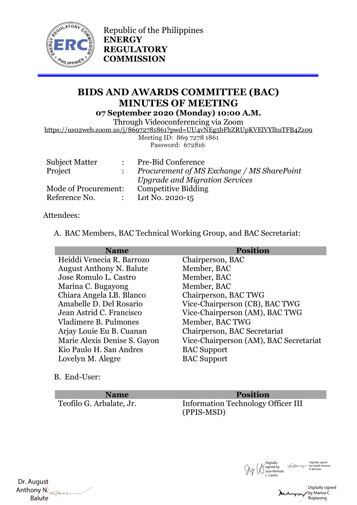

Republic of the Philippines **ENERGY REGULATORY COMMISSION**

## **BIDS AND AWARDS COMMITTEE (BAC) MINUTES OF MEETING 07 September 2020 (Monday) 10:00 A.M.**

Through Videoconferencing via Zoom

https://us02web.zoom.us/j/86972781861?pwd=UU4vNEg5bFhZRUpKVElVYlhuTFB4Zz09

Meeting ID: 869 7278 1861 Password: 672816

|                      | : Pre-Bid Conference                       |
|----------------------|--------------------------------------------|
|                      | Procurement of MS Exchange / MS SharePoint |
|                      | <b>Upgrade and Migration Services</b>      |
| Mode of Procurement: | <b>Competitive Bidding</b>                 |
|                      | : Lot No. 2020-15                          |
|                      |                                            |

## Attendees:

A. BAC Members, BAC Technical Working Group, and BAC Secretariat:

| <b>Name</b>                     | <b>Position</b>                        |
|---------------------------------|----------------------------------------|
| Heiddi Venecia R. Barrozo       | Chairperson, BAC                       |
| <b>August Anthony N. Balute</b> | Member, BAC                            |
| Jose Romulo L. Castro           | Member, BAC                            |
| Marina C. Bugayong              | Member, BAC                            |
| Chiara Angela LB. Blanco        | Chairperson, BAC TWG                   |
| Amabelle D. Del Rosario         | Vice-Chairperson (CB), BAC TWG         |
| Jean Astrid C. Francisco        | Vice-Chairperson (AM), BAC TWG         |
| Vladimere B. Pulmones           | Member, BAC TWG                        |
| Arjay Louie Eu B. Cuanan        | Chairperson, BAC Secretariat           |
| Marie Alexis Denise S. Gayon    | Vice-Chairperson (AM), BAC Secretariat |
| Kio Paulo H. San Andres         | <b>BAC</b> Support                     |
| Lovelyn M. Alegre               | <b>BAC</b> Support                     |
|                                 |                                        |

B. End-User:

**Name Position** Teofilo G. Arbalate, Jr. Information Technology Officer III (PPIS-MSD)



 Dr. August Anthony N. Balute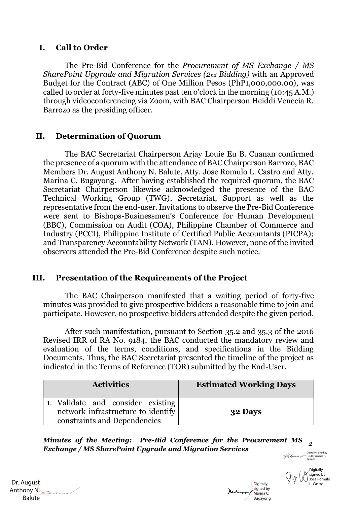### **I. Call to Order**

The Pre-Bid Conference for the *Procurement of MS Exchange / MS SharePoint Upgrade and Migration Services (2nd Bidding)* with an Approved Budget for the Contract (ABC) of One Million Pesos (PhP1,000,000.00), was called to order at forty-five minutes past ten o'clock in the morning (10:45 A.M.) through videoconferencing via Zoom, with BAC Chairperson Heiddi Venecia R. Barrozo as the presiding officer.

## **II. Determination of Quorum**

The BAC Secretariat Chairperson Arjay Louie Eu B. Cuanan confirmed the presence of a quorum with the attendance of BAC Chairperson Barrozo, BAC Members Dr. August Anthony N. Balute, Atty. Jose Romulo L. Castro and Atty. Marina C. Bugayong. After having established the required quorum, the BAC Secretariat Chairperson likewise acknowledged the presence of the BAC Technical Working Group (TWG), Secretariat, Support as well as the representative from the end-user. Invitations to observe the Pre-Bid Conference were sent to Bishops-Businessmen's Conference for Human Development (BBC), Commission on Audit (COA), Philippine Chamber of Commerce and Industry (PCCI), Philippine Institute of Certified Public Accountants (PICPA); and Transparency Accountability Network (TAN). However, none of the invited observers attended the Pre-Bid Conference despite such notice.

### **III. Presentation of the Requirements of the Project**

 The BAC Chairperson manifested that a waiting period of forty-five minutes was provided to give prospective bidders a reasonable time to join and participate. However, no prospective bidders attended despite the given period.

After such manifestation, pursuant to Section 35.2 and 35.3 of the 2016 Revised IRR of RA No. 9184, the BAC conducted the mandatory review and evaluation of the terms, conditions, and specifications in the Bidding Documents. Thus, the BAC Secretariat presented the timeline of the project as indicated in the Terms of Reference (TOR) submitted by the End-User.

| <b>Activities</b>                                                       | <b>Estimated Working Days</b> |
|-------------------------------------------------------------------------|-------------------------------|
| 1. Validate and consider existing<br>network infrastructure to identify | 32 Days                       |
| constraints and Dependencies                                            |                               |

*Minutes of the Meeting: Pre-Bid Conference for the Procurement MS 2 Exchange / MS SharePoint Upgrade and Migration Services* farrozo

 Dr. August Anthony N. Balute

Digitally signed by Marina C. Bugayong

Digitally signed by Heiddi Venecia R. Barrozo **Digitally** signed by Jose Romulo

L. Castro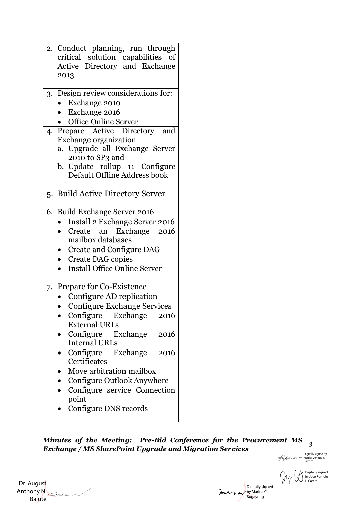| 2. Conduct planning, run through<br>critical solution capabilities of<br>Active Directory and Exchange<br>2013 |  |  |  |  |  |
|----------------------------------------------------------------------------------------------------------------|--|--|--|--|--|
|                                                                                                                |  |  |  |  |  |
|                                                                                                                |  |  |  |  |  |
| 3. Design review considerations for:                                                                           |  |  |  |  |  |
| Exchange 2010                                                                                                  |  |  |  |  |  |
| Exchange 2016                                                                                                  |  |  |  |  |  |
| <b>Office Online Server</b>                                                                                    |  |  |  |  |  |
| 4. Prepare Active Directory<br>and                                                                             |  |  |  |  |  |
| Exchange organization                                                                                          |  |  |  |  |  |
|                                                                                                                |  |  |  |  |  |
| a. Upgrade all Exchange Server<br>2010 to SP3 and                                                              |  |  |  |  |  |
|                                                                                                                |  |  |  |  |  |
| b. Update rollup 11 Configure                                                                                  |  |  |  |  |  |
| Default Offline Address book                                                                                   |  |  |  |  |  |
|                                                                                                                |  |  |  |  |  |
| 5. Build Active Directory Server                                                                               |  |  |  |  |  |
|                                                                                                                |  |  |  |  |  |
| 6. Build Exchange Server 2016                                                                                  |  |  |  |  |  |
| Install 2 Exchange Server 2016                                                                                 |  |  |  |  |  |
| Create an Exchange<br>2016                                                                                     |  |  |  |  |  |
| mailbox databases                                                                                              |  |  |  |  |  |
| Create and Configure DAG<br>$\bullet$                                                                          |  |  |  |  |  |
|                                                                                                                |  |  |  |  |  |
| Create DAG copies                                                                                              |  |  |  |  |  |
| <b>Install Office Online Server</b><br>$\bullet$                                                               |  |  |  |  |  |
|                                                                                                                |  |  |  |  |  |
| 7. Prepare for Co-Existence                                                                                    |  |  |  |  |  |
| Configure AD replication                                                                                       |  |  |  |  |  |
| <b>Configure Exchange Services</b>                                                                             |  |  |  |  |  |
| Configure Exchange<br>2016                                                                                     |  |  |  |  |  |
| <b>External URLs</b>                                                                                           |  |  |  |  |  |
| Configure Exchange<br>2016<br>$\bullet$                                                                        |  |  |  |  |  |
| <b>Internal URLs</b>                                                                                           |  |  |  |  |  |
|                                                                                                                |  |  |  |  |  |
| Configure Exchange<br>2016                                                                                     |  |  |  |  |  |
| Certificates                                                                                                   |  |  |  |  |  |
| Move arbitration mailbox<br>$\bullet$                                                                          |  |  |  |  |  |
| Configure Outlook Anywhere                                                                                     |  |  |  |  |  |
| Configure service Connection                                                                                   |  |  |  |  |  |
|                                                                                                                |  |  |  |  |  |
| point                                                                                                          |  |  |  |  |  |
| Configure DNS records                                                                                          |  |  |  |  |  |

*Minutes of the Meeting: Pre-Bid Conference for the Procurement MS 3 Exchange / MS SharePoint Upgrade and Migration Services* Digitally signed by Heiddi Venecia R. Barrozo

 Dr. August Anthony N. Balute

Digitally signed by Marina C. Bugayong

Digitally signed by Jose Romulo L. Castro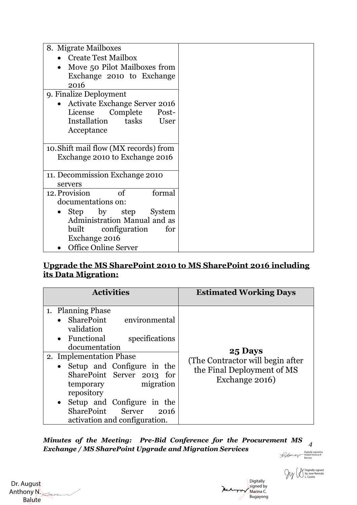| 8. Migrate Mailboxes                     |  |  |  |
|------------------------------------------|--|--|--|
| Create Test Mailbox                      |  |  |  |
| Move 50 Pilot Mailboxes from             |  |  |  |
| Exchange 2010 to Exchange                |  |  |  |
| 2016                                     |  |  |  |
| 9. Finalize Deployment                   |  |  |  |
| Activate Exchange Server 2016            |  |  |  |
| License Complete Post-                   |  |  |  |
| Installation tasks<br>User               |  |  |  |
| Acceptance                               |  |  |  |
|                                          |  |  |  |
| 10. Shift mail flow (MX records) from    |  |  |  |
| Exchange 2010 to Exchange 2016           |  |  |  |
|                                          |  |  |  |
| 11. Decommission Exchange 2010           |  |  |  |
| servers                                  |  |  |  |
| 12. Provision<br><sub>of</sub><br>formal |  |  |  |
| documentations on:                       |  |  |  |
| Step by step<br>System                   |  |  |  |
| Administration Manual and as             |  |  |  |
| built configuration<br>for               |  |  |  |
| Exchange 2016                            |  |  |  |
| <b>Office Online Server</b>              |  |  |  |

### **Upgrade the MS SharePoint 2010 to MS SharePoint 2016 including its Data Migration:**

| <b>Activities</b>                                                                                                                                                                                                                                                                                                                         | <b>Estimated Working Days</b>                                                                |
|-------------------------------------------------------------------------------------------------------------------------------------------------------------------------------------------------------------------------------------------------------------------------------------------------------------------------------------------|----------------------------------------------------------------------------------------------|
| 1. Planning Phase<br>SharePoint environmental<br>validation<br>• Functional<br>specifications<br>documentation<br>2. Implementation Phase<br>Setup and Configure in the<br>SharePoint Server 2013 for<br>migration<br>temporary<br>repository<br>Setup and Configure in the<br>SharePoint Server<br>2016<br>activation and configuration. | 25 Days<br>(The Contractor will begin after)<br>the Final Deployment of MS<br>Exchange 2016) |

*Minutes of the Meeting: Pre-Bid Conference for the Procurement MS 4 Exchange / MS SharePoint Upgrade and Migration Services*

 Dr. August Anthony N. Balute

**Digitally** signed by Marina C. Bugayong

Digitally signed by Heiddi Venecia R. Barrozo

Digitally signed by Jose Romulo L. Castro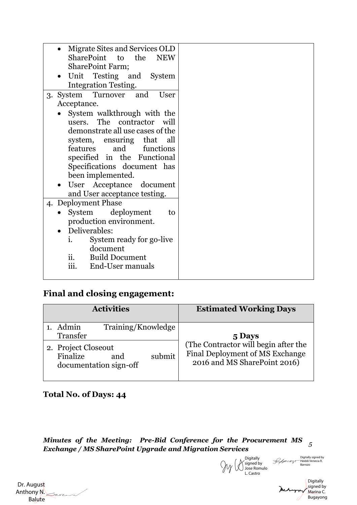| Migrate Sites and Services OLD<br>SharePoint to the<br>${\bf NEW}$ |
|--------------------------------------------------------------------|
| <b>SharePoint Farm;</b>                                            |
| Unit Testing and System<br>$\bullet$                               |
| <b>Integration Testing.</b>                                        |
| 3. System Turnover and<br>User                                     |
| Acceptance.                                                        |
| System walkthrough with the                                        |
| users. The contractor will                                         |
| demonstrate all use cases of the                                   |
| system, ensuring that all                                          |
| and<br>features<br>functions                                       |
| specified in the Functional<br>Specifications document has         |
| been implemented.                                                  |
| User Acceptance document                                           |
| and User acceptance testing.                                       |
| 4. Deployment Phase                                                |
| System deployment<br>to                                            |
| production environment.                                            |
| Deliverables:                                                      |
| System ready for go-live<br>i.                                     |
| document                                                           |
| ii.<br><b>Build Document</b>                                       |
| iii.<br>End-User manuals                                           |
|                                                                    |

# **Final and closing engagement:**

| <b>Activities</b>                                                          | <b>Estimated Working Days</b>                                                                           |
|----------------------------------------------------------------------------|---------------------------------------------------------------------------------------------------------|
| Training/Knowledge<br>Admin<br>Transfer                                    | 5 Days                                                                                                  |
| 2. Project Closeout<br>Finalize<br>submit<br>and<br>documentation sign-off | (The Contractor will begin after the<br>Final Deployment of MS Exchange<br>2016 and MS SharePoint 2016) |

## **Total No. of Days: 44**

*Minutes of the Meeting: Pre-Bid Conference for the Procurement MS 5 Exchange / MS SharePoint Upgrade and Migration Services*

**Digitally** signed by Jose Romulo L. Castro

Digitally signed by Heiddi Venecia R. Barrozo

**Digitally** signed by Marina C. Bugayong

 Dr. August Anthony N. Balute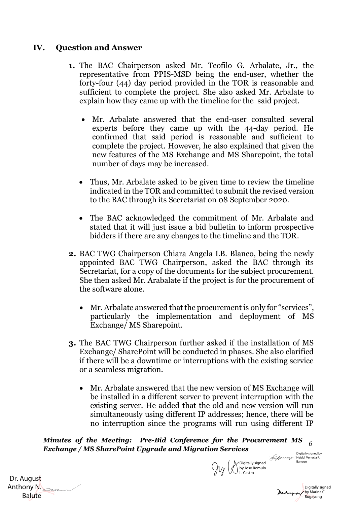## **IV. Question and Answer**

- **1.** The BAC Chairperson asked Mr. Teofilo G. Arbalate, Jr., the representative from PPIS-MSD being the end-user, whether the forty-four (44) day period provided in the TOR is reasonable and sufficient to complete the project. She also asked Mr. Arbalate to explain how they came up with the timeline for the said project.
	- Mr. Arbalate answered that the end-user consulted several experts before they came up with the 44-day period. He confirmed that said period is reasonable and sufficient to complete the project. However, he also explained that given the new features of the MS Exchange and MS Sharepoint, the total number of days may be increased.
	- Thus, Mr. Arbalate asked to be given time to review the timeline indicated in the TOR and committed to submit the revised version to the BAC through its Secretariat on 08 September 2020.
	- The BAC acknowledged the commitment of Mr. Arbalate and stated that it will just issue a bid bulletin to inform prospective bidders if there are any changes to the timeline and the TOR.
- **2.** BAC TWG Chairperson Chiara Angela LB. Blanco, being the newly appointed BAC TWG Chairperson, asked the BAC through its Secretariat, for a copy of the documents for the subject procurement. She then asked Mr. Arabalate if the project is for the procurement of the software alone.
	- Mr. Arbalate answered that the procurement is only for "services", particularly the implementation and deployment of MS Exchange/ MS Sharepoint.
- **3.** The BAC TWG Chairperson further asked if the installation of MS Exchange/ SharePoint will be conducted in phases. She also clarified if there will be a downtime or interruptions with the existing service or a seamless migration.
	- Mr. Arbalate answered that the new version of MS Exchange will be installed in a different server to prevent interruption with the existing server. He added that the old and new version will run simultaneously using different IP addresses; hence, there will be no interruption since the programs will run using different IP

*Minutes of the Meeting: Pre-Bid Conference for the Procurement MS 6 Exchange / MS SharePoint Upgrade and Migration Services*

 Dr. August Anthony N. Balute

by Jose Romulo L. Castro

Digitally signed by وDigitally signed by سهوس Digitally signed by  $\mathcal{P}$  Heiddi Venecia R.<br>Barrozo Barrozo

Digitally signed by Marina C. Bugayong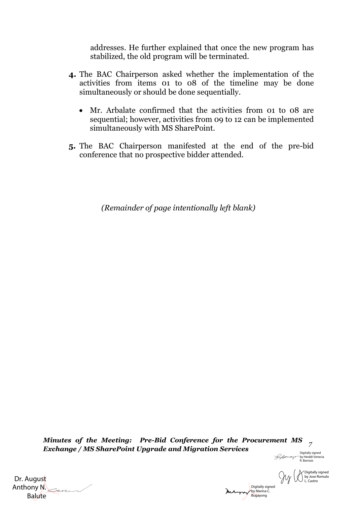addresses. He further explained that once the new program has stabilized, the old program will be terminated.

- **4.** The BAC Chairperson asked whether the implementation of the activities from items 01 to 08 of the timeline may be done simultaneously or should be done sequentially.
	- Mr. Arbalate confirmed that the activities from 01 to 08 are sequential; however, activities from 09 to 12 can be implemented simultaneously with MS SharePoint.
- **5.** The BAC Chairperson manifested at the end of the pre-bid conference that no prospective bidder attended.

*(Remainder of page intentionally left blank)*

*Minutes of the Meeting: Pre-Bid Conference for the Procurement MS 7 Exchange / MS SharePoint Upgrade and Migration Services*

Digitally signed by Heiddi Venecia R. Barrozo

 $\mathcal{W}$ 

Digitally signed by Jose Romulo L. Castro

Digitally signed Mehappy by Marina C. Bugayong

 Dr. August Anthony N. Balute